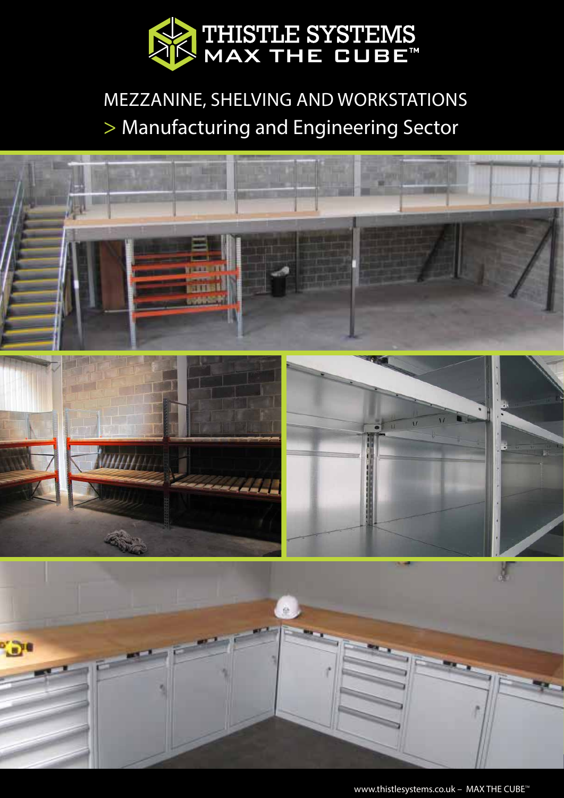

## MEZZANINE, SHELVING AND WORKSTATIONS > Manufacturing and Engineering Sector



www.thistlesystems.co.uk - MAX THE CUBE™